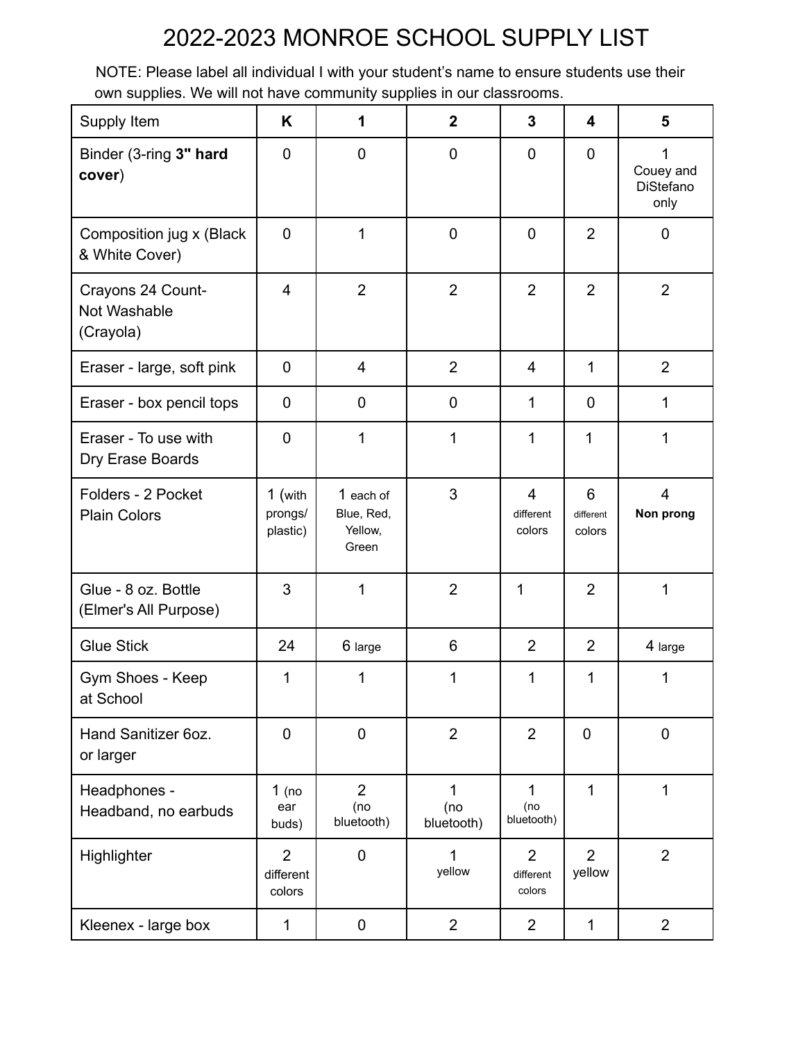## 2022-2023 MONROE SCHOOL SUPPLY LIST

NOTE: Please label all individual I with your student's name to ensure students use their own supplies. We will not have community supplies in our classrooms.

| Supply Item                                    | K                                     | 1                                           | $\overline{2}$         | 3                                     | $\overline{\mathbf{4}}$  | 5                                          |
|------------------------------------------------|---------------------------------------|---------------------------------------------|------------------------|---------------------------------------|--------------------------|--------------------------------------------|
| Binder (3-ring 3" hard<br>cover)               | $\mathbf 0$                           | $\mathbf 0$                                 | $\pmb{0}$              | $\mathbf 0$                           | $\mathbf 0$              | 1<br>Couey and<br><b>DiStefano</b><br>only |
| Composition jug x (Black<br>& White Cover)     | $\mathbf 0$                           | 1                                           | $\pmb{0}$              | $\mathbf 0$                           | $\overline{2}$           | 0                                          |
| Crayons 24 Count-<br>Not Washable<br>(Crayola) | $\overline{4}$                        | $\overline{2}$                              | $\overline{2}$         | $\overline{2}$                        | $\overline{2}$           | $\overline{2}$                             |
| Eraser - large, soft pink                      | $\mathbf 0$                           | $\overline{4}$                              | $\overline{2}$         | $\overline{4}$                        | 1                        | $\overline{2}$                             |
| Eraser - box pencil tops                       | 0                                     | $\mathbf 0$                                 | 0                      | 1                                     | $\mathbf 0$              | 1                                          |
| Eraser - To use with<br>Dry Erase Boards       | $\mathbf 0$                           | 1                                           | 1                      | 1                                     | 1                        | 1                                          |
| Folders - 2 Pocket<br><b>Plain Colors</b>      | 1 (with<br>prongs/<br>plastic)        | 1 each of<br>Blue, Red,<br>Yellow,<br>Green | 3                      | $\overline{4}$<br>different<br>colors | 6<br>different<br>colors | $\overline{4}$<br>Non prong                |
| Glue - 8 oz. Bottle<br>(Elmer's All Purpose)   | 3                                     | 1                                           | $\overline{2}$         | 1                                     | $\overline{2}$           | 1                                          |
| <b>Glue Stick</b>                              | 24                                    | 6 large                                     | 6                      | $\overline{2}$                        | $\overline{2}$           | 4 large                                    |
| Gym Shoes - Keep<br>at School                  | 1                                     | 1                                           | 1                      | 1                                     | 1                        | 1                                          |
| Hand Sanitizer 6oz.<br>or larger               | $\mathbf 0$                           | $\mathbf 0$                                 | $\overline{2}$         | $\overline{2}$                        | $\mathbf 0$              | $\mathbf 0$                                |
| Headphones -<br>Headband, no earbuds           | $1$ (no<br>ear<br>buds)               | 2<br>(no<br>bluetooth)                      | 1<br>(no<br>bluetooth) | $\mathbf 1$<br>(no<br>bluetooth)      | 1                        | 1                                          |
| Highlighter                                    | $\overline{2}$<br>different<br>colors | $\mathbf 0$                                 | 1<br>yellow            | $\overline{2}$<br>different<br>colors | $\overline{2}$<br>yellow | $\overline{2}$                             |
| Kleenex - large box                            | 1                                     | $\boldsymbol{0}$                            | $\overline{2}$         | $\overline{2}$                        | 1                        | $\overline{2}$                             |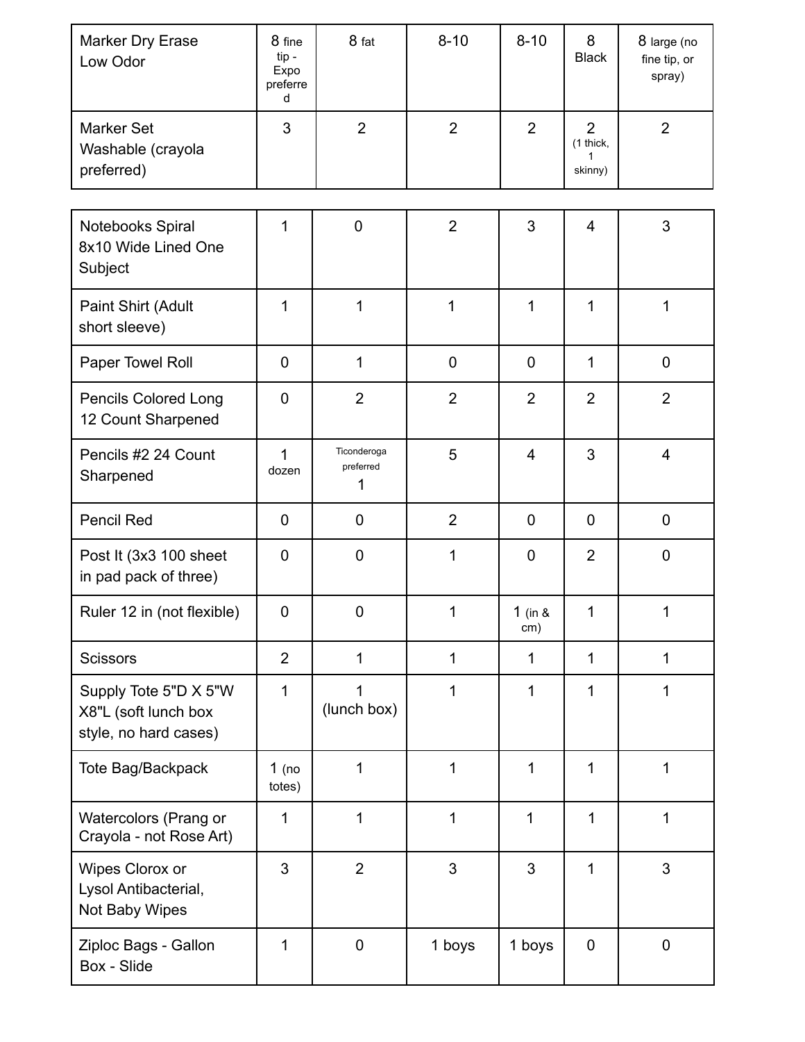| <b>Marker Dry Erase</b><br>Low Odor                                    | 8 fine<br>tip-<br>Expo<br>preferre<br>d | 8 fat                         | $8 - 10$       | $8 - 10$         | 8<br><b>Black</b>                           | 8 large (no<br>fine tip, or<br>spray) |
|------------------------------------------------------------------------|-----------------------------------------|-------------------------------|----------------|------------------|---------------------------------------------|---------------------------------------|
| <b>Marker Set</b><br>Washable (crayola<br>preferred)                   | 3                                       | $\overline{2}$                | $\overline{2}$ | $\overline{2}$   | $\overline{2}$<br>(1 thick,<br>1<br>skinny) | $\overline{2}$                        |
| Notebooks Spiral<br>8x10 Wide Lined One<br>Subject                     | 1                                       | $\mathbf 0$                   | $\overline{2}$ | 3                | $\overline{4}$                              | 3                                     |
| Paint Shirt (Adult<br>short sleeve)                                    | 1                                       | 1                             | 1              | $\mathbf{1}$     | 1                                           | 1                                     |
| Paper Towel Roll                                                       | $\mathbf 0$                             | 1                             | $\mathbf 0$    | $\mathbf 0$      | 1                                           | $\mathbf 0$                           |
| <b>Pencils Colored Long</b><br>12 Count Sharpened                      | $\mathbf 0$                             | $\overline{2}$                | $\overline{2}$ | $\overline{2}$   | $\overline{2}$                              | $\overline{2}$                        |
| Pencils #2 24 Count<br>Sharpened                                       | 1<br>dozen                              | Ticonderoga<br>preferred<br>1 | 5              | $\overline{4}$   | 3                                           | $\overline{4}$                        |
| Pencil Red                                                             | $\mathbf 0$                             | $\mathbf 0$                   | $\overline{2}$ | $\mathbf 0$      | $\overline{0}$                              | $\mathbf 0$                           |
| Post It (3x3 100 sheet<br>in pad pack of three)                        | $\mathbf 0$                             | $\mathbf 0$                   | 1              | 0                | $\overline{2}$                              | $\mathbf 0$                           |
| Ruler 12 in (not flexible)                                             | 0                                       | 0                             | $\mathbf{1}$   | 1 (in $8$<br>cm) | 1                                           | 1                                     |
| <b>Scissors</b>                                                        | $\overline{2}$                          | 1                             | $\mathbf{1}$   | $\mathbf 1$      | 1                                           | 1                                     |
| Supply Tote 5"D X 5"W<br>X8"L (soft lunch box<br>style, no hard cases) | $\mathbf{1}$                            | (lunch box)                   | 1              | $\mathbf{1}$     | 1                                           | 1                                     |
| Tote Bag/Backpack                                                      | $1$ (no<br>totes)                       | 1                             | 1              | $\mathbf{1}$     | 1                                           | 1                                     |
| Watercolors (Prang or<br>Crayola - not Rose Art)                       | 1                                       | 1                             | 1              | 1                | $\mathbf 1$                                 | 1                                     |
| Wipes Clorox or<br>Lysol Antibacterial,<br>Not Baby Wipes              | 3                                       | $\overline{2}$                | 3              | 3                | 1                                           | $\mathfrak{S}$                        |
| Ziploc Bags - Gallon<br>Box - Slide                                    | 1                                       | $\pmb{0}$                     | 1 boys         | 1 boys           | $\mathbf 0$                                 | $\pmb{0}$                             |